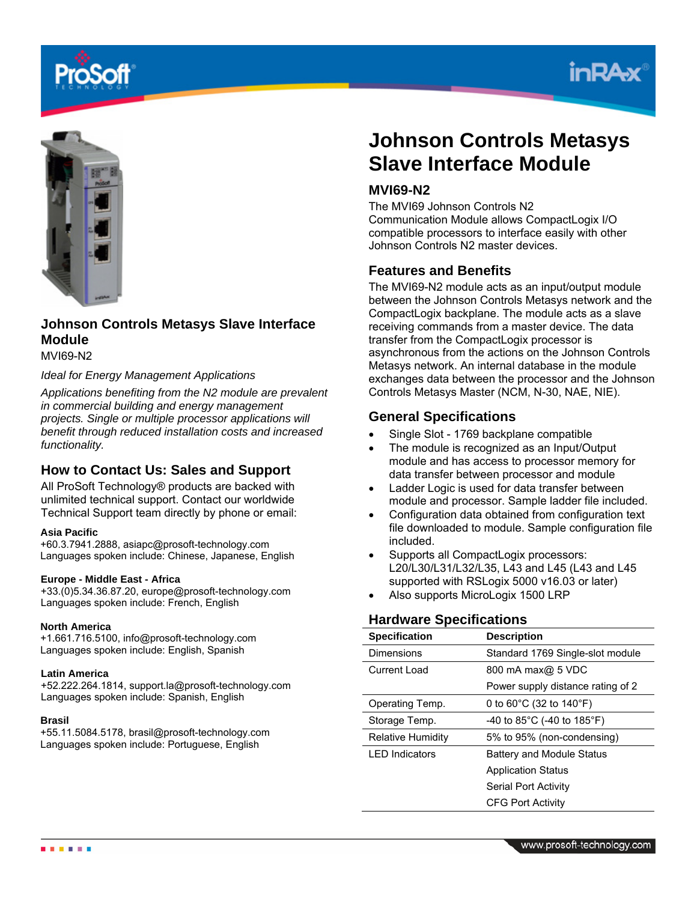





# **Johnson Controls Metasys Slave Interface Module**

MVI69-N2

#### *Ideal for Energy Management Applications*

*Applications benefiting from the N2 module are prevalent in commercial building and energy management projects. Single or multiple processor applications will benefit through reduced installation costs and increased functionality.*

## **How to Contact Us: Sales and Support**

All ProSoft Technology® products are backed with unlimited technical support. Contact our worldwide Technical Support team directly by phone or email:

#### **Asia Pacific**

+60.3.7941.2888, asiapc@prosoft-technology.com Languages spoken include: Chinese, Japanese, English

#### **Europe - Middle East - Africa**

+33.(0)5.34.36.87.20, europe@prosoft-technology.com Languages spoken include: French, English

#### **North America**

+1.661.716.5100, info@prosoft-technology.com Languages spoken include: English, Spanish

#### **Latin America**

+52.222.264.1814, support.la@prosoft-technology.com Languages spoken include: Spanish, English

#### **Brasil**

+55.11.5084.5178, brasil@prosoft-technology.com Languages spoken include: Portuguese, English

# **Johnson Controls Metasys Slave Interface Module**

# **MVI69-N2**

The MVI69 Johnson Controls N2 Communication Module allows CompactLogix I/O compatible processors to interface easily with other Johnson Controls N2 master devices.

## **Features and Benefits**

The MVI69-N2 module acts as an input/output module between the Johnson Controls Metasys network and the CompactLogix backplane. The module acts as a slave receiving commands from a master device. The data transfer from the CompactLogix processor is asynchronous from the actions on the Johnson Controls Metasys network. An internal database in the module exchanges data between the processor and the Johnson Controls Metasys Master (NCM, N-30, NAE, NIE).

## **General Specifications**

- Single Slot 1769 backplane compatible
- The module is recognized as an Input/Output module and has access to processor memory for data transfer between processor and module
- Ladder Logic is used for data transfer between module and processor. Sample ladder file included.
- Configuration data obtained from configuration text file downloaded to module. Sample configuration file included.
- Supports all CompactLogix processors: L20/L30/L31/L32/L35, L43 and L45 (L43 and L45 supported with RSLogix 5000 v16.03 or later)
- Also supports MicroLogix 1500 LRP

### **Hardware Specifications**

| <b>Specification</b>     | <b>Description</b>                |
|--------------------------|-----------------------------------|
| Dimensions               | Standard 1769 Single-slot module  |
| Current Load             | 800 mA max@ 5 VDC                 |
|                          | Power supply distance rating of 2 |
| Operating Temp.          | 0 to 60°C (32 to 140°F)           |
| Storage Temp.            | -40 to 85°C (-40 to 185°F)        |
| <b>Relative Humidity</b> | 5% to 95% (non-condensing)        |
| I FD Indicators          | <b>Battery and Module Status</b>  |
|                          | <b>Application Status</b>         |
|                          | Serial Port Activity              |
|                          | <b>CFG Port Activity</b>          |